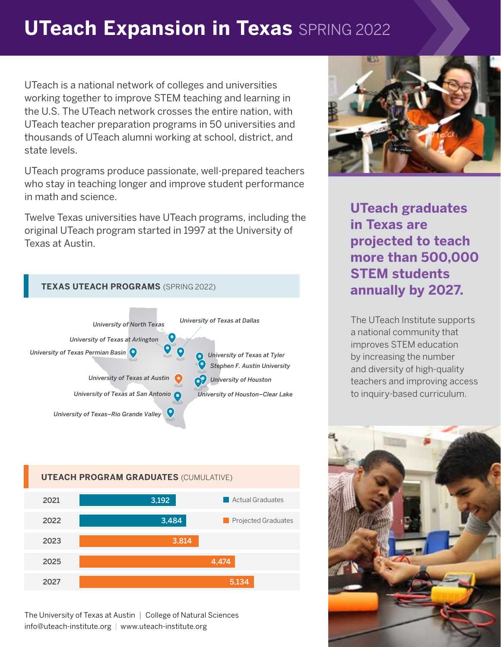## **UTeach Expansion in Texas** SPRING 2022

UTeach is a national network of colleges and universities working together to improve STEM teaching and learning in the U.S. The UTeach network crosses the entire nation, with UTeach teacher preparation programs in 50 universities and thousands of UTeach alumni working at school, district, and state levels.

UTeach programs produce passionate, well-prepared teachers who stay in teaching longer and improve student performance in math and science.

Twelve Texas universities have UTeach programs, including the original UTeach program started in 1997 at the University of Texas at Austin.





The University of Texas at Austin | College of Natural Sciences info@uteach-institute.org | www.uteach-institute.org



**UTeach graduates in Texas are projected to teach more than 500,000 STEM students annually by 2027.**

The UTeach Institute supports a national community that improves STEM education by increasing the number and diversity of high-quality teachers and improving access to inquiry-based curriculum.